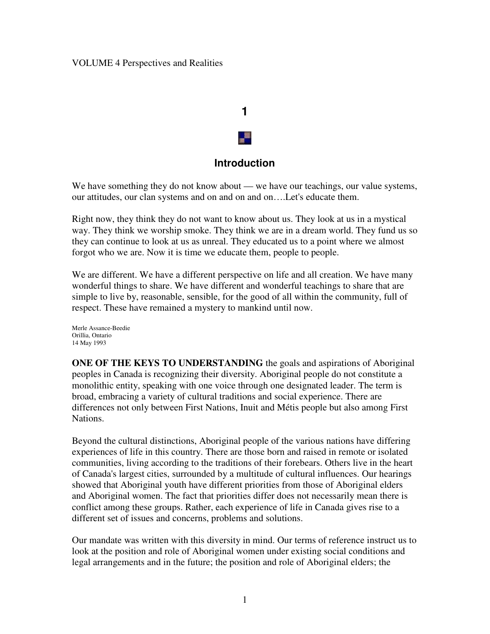#### VOLUME 4 Perspectives and Realities



#### **Introduction**

We have something they do not know about — we have our teachings, our value systems, our attitudes, our clan systems and on and on and on….Let's educate them.

Right now, they think they do not want to know about us. They look at us in a mystical way. They think we worship smoke. They think we are in a dream world. They fund us so they can continue to look at us as unreal. They educated us to a point where we almost forgot who we are. Now it is time we educate them, people to people.

We are different. We have a different perspective on life and all creation. We have many wonderful things to share. We have different and wonderful teachings to share that are simple to live by, reasonable, sensible, for the good of all within the community, full of respect. These have remained a mystery to mankind until now.

Merle Assance-Beedie Orillia, Ontario 14 May 1993

**ONE OF THE KEYS TO UNDERSTANDING** the goals and aspirations of Aboriginal peoples in Canada is recognizing their diversity. Aboriginal people do not constitute a monolithic entity, speaking with one voice through one designated leader. The term is broad, embracing a variety of cultural traditions and social experience. There are differences not only between First Nations, Inuit and Métis people but also among First Nations.

Beyond the cultural distinctions, Aboriginal people of the various nations have differing experiences of life in this country. There are those born and raised in remote or isolated communities, living according to the traditions of their forebears. Others live in the heart of Canada's largest cities, surrounded by a multitude of cultural influences. Our hearings showed that Aboriginal youth have different priorities from those of Aboriginal elders and Aboriginal women. The fact that priorities differ does not necessarily mean there is conflict among these groups. Rather, each experience of life in Canada gives rise to a different set of issues and concerns, problems and solutions.

Our mandate was written with this diversity in mind. Our terms of reference instruct us to look at the position and role of Aboriginal women under existing social conditions and legal arrangements and in the future; the position and role of Aboriginal elders; the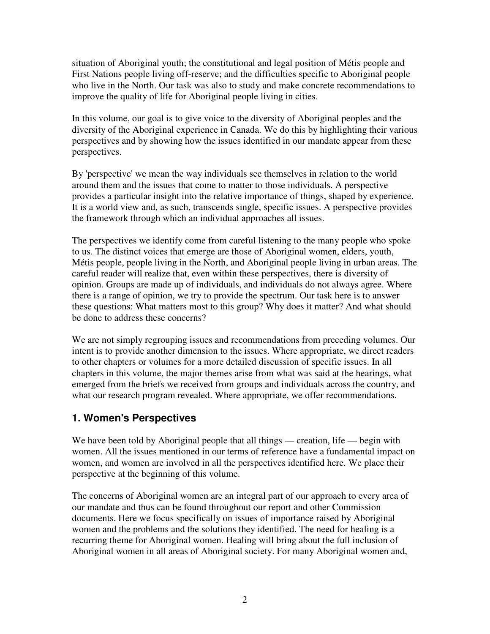situation of Aboriginal youth; the constitutional and legal position of Métis people and First Nations people living off-reserve; and the difficulties specific to Aboriginal people who live in the North. Our task was also to study and make concrete recommendations to improve the quality of life for Aboriginal people living in cities.

In this volume, our goal is to give voice to the diversity of Aboriginal peoples and the diversity of the Aboriginal experience in Canada. We do this by highlighting their various perspectives and by showing how the issues identified in our mandate appear from these perspectives.

By 'perspective' we mean the way individuals see themselves in relation to the world around them and the issues that come to matter to those individuals. A perspective provides a particular insight into the relative importance of things, shaped by experience. It is a world view and, as such, transcends single, specific issues. A perspective provides the framework through which an individual approaches all issues.

The perspectives we identify come from careful listening to the many people who spoke to us. The distinct voices that emerge are those of Aboriginal women, elders, youth, Métis people, people living in the North, and Aboriginal people living in urban areas. The careful reader will realize that, even within these perspectives, there is diversity of opinion. Groups are made up of individuals, and individuals do not always agree. Where there is a range of opinion, we try to provide the spectrum. Our task here is to answer these questions: What matters most to this group? Why does it matter? And what should be done to address these concerns?

We are not simply regrouping issues and recommendations from preceding volumes. Our intent is to provide another dimension to the issues. Where appropriate, we direct readers to other chapters or volumes for a more detailed discussion of specific issues. In all chapters in this volume, the major themes arise from what was said at the hearings, what emerged from the briefs we received from groups and individuals across the country, and what our research program revealed. Where appropriate, we offer recommendations.

## **1. Women's Perspectives**

We have been told by Aboriginal people that all things — creation, life — begin with women. All the issues mentioned in our terms of reference have a fundamental impact on women, and women are involved in all the perspectives identified here. We place their perspective at the beginning of this volume.

The concerns of Aboriginal women are an integral part of our approach to every area of our mandate and thus can be found throughout our report and other Commission documents. Here we focus specifically on issues of importance raised by Aboriginal women and the problems and the solutions they identified. The need for healing is a recurring theme for Aboriginal women. Healing will bring about the full inclusion of Aboriginal women in all areas of Aboriginal society. For many Aboriginal women and,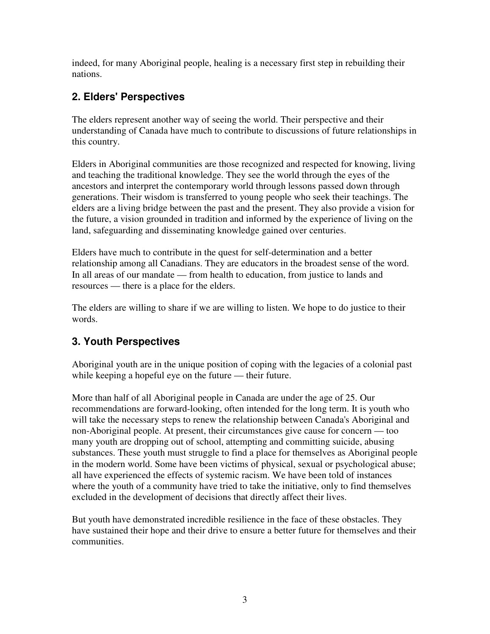indeed, for many Aboriginal people, healing is a necessary first step in rebuilding their nations.

# **2. Elders' Perspectives**

The elders represent another way of seeing the world. Their perspective and their understanding of Canada have much to contribute to discussions of future relationships in this country.

Elders in Aboriginal communities are those recognized and respected for knowing, living and teaching the traditional knowledge. They see the world through the eyes of the ancestors and interpret the contemporary world through lessons passed down through generations. Their wisdom is transferred to young people who seek their teachings. The elders are a living bridge between the past and the present. They also provide a vision for the future, a vision grounded in tradition and informed by the experience of living on the land, safeguarding and disseminating knowledge gained over centuries.

Elders have much to contribute in the quest for self-determination and a better relationship among all Canadians. They are educators in the broadest sense of the word. In all areas of our mandate — from health to education, from justice to lands and resources — there is a place for the elders.

The elders are willing to share if we are willing to listen. We hope to do justice to their words.

## **3. Youth Perspectives**

Aboriginal youth are in the unique position of coping with the legacies of a colonial past while keeping a hopeful eye on the future — their future.

More than half of all Aboriginal people in Canada are under the age of 25. Our recommendations are forward-looking, often intended for the long term. It is youth who will take the necessary steps to renew the relationship between Canada's Aboriginal and non-Aboriginal people. At present, their circumstances give cause for concern — too many youth are dropping out of school, attempting and committing suicide, abusing substances. These youth must struggle to find a place for themselves as Aboriginal people in the modern world. Some have been victims of physical, sexual or psychological abuse; all have experienced the effects of systemic racism. We have been told of instances where the youth of a community have tried to take the initiative, only to find themselves excluded in the development of decisions that directly affect their lives.

But youth have demonstrated incredible resilience in the face of these obstacles. They have sustained their hope and their drive to ensure a better future for themselves and their communities.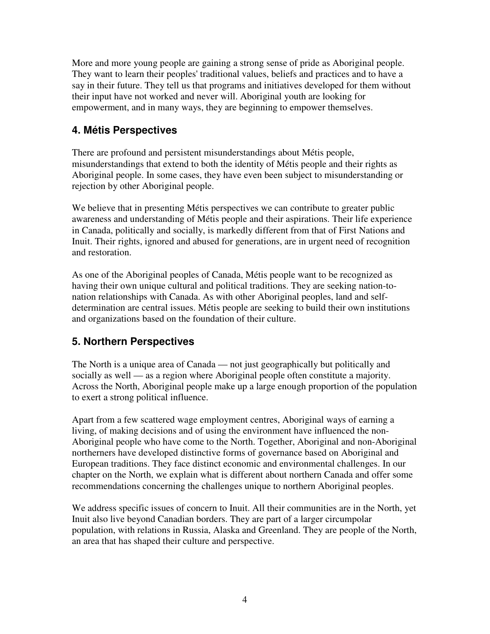More and more young people are gaining a strong sense of pride as Aboriginal people. They want to learn their peoples' traditional values, beliefs and practices and to have a say in their future. They tell us that programs and initiatives developed for them without their input have not worked and never will. Aboriginal youth are looking for empowerment, and in many ways, they are beginning to empower themselves.

## **4. Métis Perspectives**

There are profound and persistent misunderstandings about Métis people, misunderstandings that extend to both the identity of Métis people and their rights as Aboriginal people. In some cases, they have even been subject to misunderstanding or rejection by other Aboriginal people.

We believe that in presenting Métis perspectives we can contribute to greater public awareness and understanding of Métis people and their aspirations. Their life experience in Canada, politically and socially, is markedly different from that of First Nations and Inuit. Their rights, ignored and abused for generations, are in urgent need of recognition and restoration.

As one of the Aboriginal peoples of Canada, Métis people want to be recognized as having their own unique cultural and political traditions. They are seeking nation-tonation relationships with Canada. As with other Aboriginal peoples, land and selfdetermination are central issues. Métis people are seeking to build their own institutions and organizations based on the foundation of their culture.

## **5. Northern Perspectives**

The North is a unique area of Canada — not just geographically but politically and socially as well — as a region where Aboriginal people often constitute a majority. Across the North, Aboriginal people make up a large enough proportion of the population to exert a strong political influence.

Apart from a few scattered wage employment centres, Aboriginal ways of earning a living, of making decisions and of using the environment have influenced the non-Aboriginal people who have come to the North. Together, Aboriginal and non-Aboriginal northerners have developed distinctive forms of governance based on Aboriginal and European traditions. They face distinct economic and environmental challenges. In our chapter on the North, we explain what is different about northern Canada and offer some recommendations concerning the challenges unique to northern Aboriginal peoples.

We address specific issues of concern to Inuit. All their communities are in the North, yet Inuit also live beyond Canadian borders. They are part of a larger circumpolar population, with relations in Russia, Alaska and Greenland. They are people of the North, an area that has shaped their culture and perspective.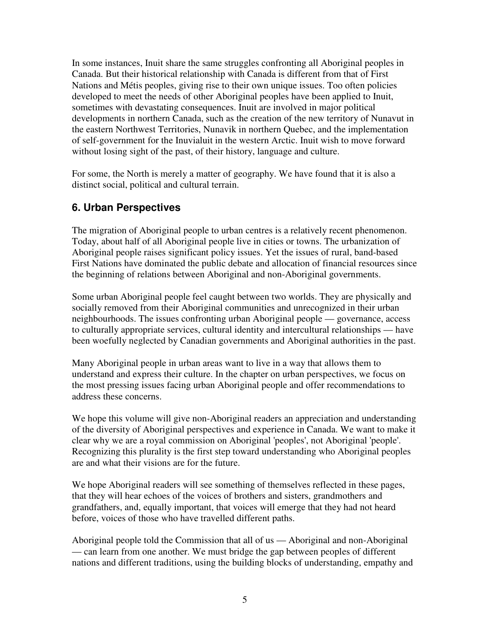In some instances, Inuit share the same struggles confronting all Aboriginal peoples in Canada. But their historical relationship with Canada is different from that of First Nations and Métis peoples, giving rise to their own unique issues. Too often policies developed to meet the needs of other Aboriginal peoples have been applied to Inuit, sometimes with devastating consequences. Inuit are involved in major political developments in northern Canada, such as the creation of the new territory of Nunavut in the eastern Northwest Territories, Nunavik in northern Quebec, and the implementation of self-government for the Inuvialuit in the western Arctic. Inuit wish to move forward without losing sight of the past, of their history, language and culture.

For some, the North is merely a matter of geography. We have found that it is also a distinct social, political and cultural terrain.

## **6. Urban Perspectives**

The migration of Aboriginal people to urban centres is a relatively recent phenomenon. Today, about half of all Aboriginal people live in cities or towns. The urbanization of Aboriginal people raises significant policy issues. Yet the issues of rural, band-based First Nations have dominated the public debate and allocation of financial resources since the beginning of relations between Aboriginal and non-Aboriginal governments.

Some urban Aboriginal people feel caught between two worlds. They are physically and socially removed from their Aboriginal communities and unrecognized in their urban neighbourhoods. The issues confronting urban Aboriginal people — governance, access to culturally appropriate services, cultural identity and intercultural relationships — have been woefully neglected by Canadian governments and Aboriginal authorities in the past.

Many Aboriginal people in urban areas want to live in a way that allows them to understand and express their culture. In the chapter on urban perspectives, we focus on the most pressing issues facing urban Aboriginal people and offer recommendations to address these concerns.

We hope this volume will give non-Aboriginal readers an appreciation and understanding of the diversity of Aboriginal perspectives and experience in Canada. We want to make it clear why we are a royal commission on Aboriginal 'peoples', not Aboriginal 'people'. Recognizing this plurality is the first step toward understanding who Aboriginal peoples are and what their visions are for the future.

We hope Aboriginal readers will see something of themselves reflected in these pages, that they will hear echoes of the voices of brothers and sisters, grandmothers and grandfathers, and, equally important, that voices will emerge that they had not heard before, voices of those who have travelled different paths.

Aboriginal people told the Commission that all of us — Aboriginal and non-Aboriginal — can learn from one another. We must bridge the gap between peoples of different nations and different traditions, using the building blocks of understanding, empathy and